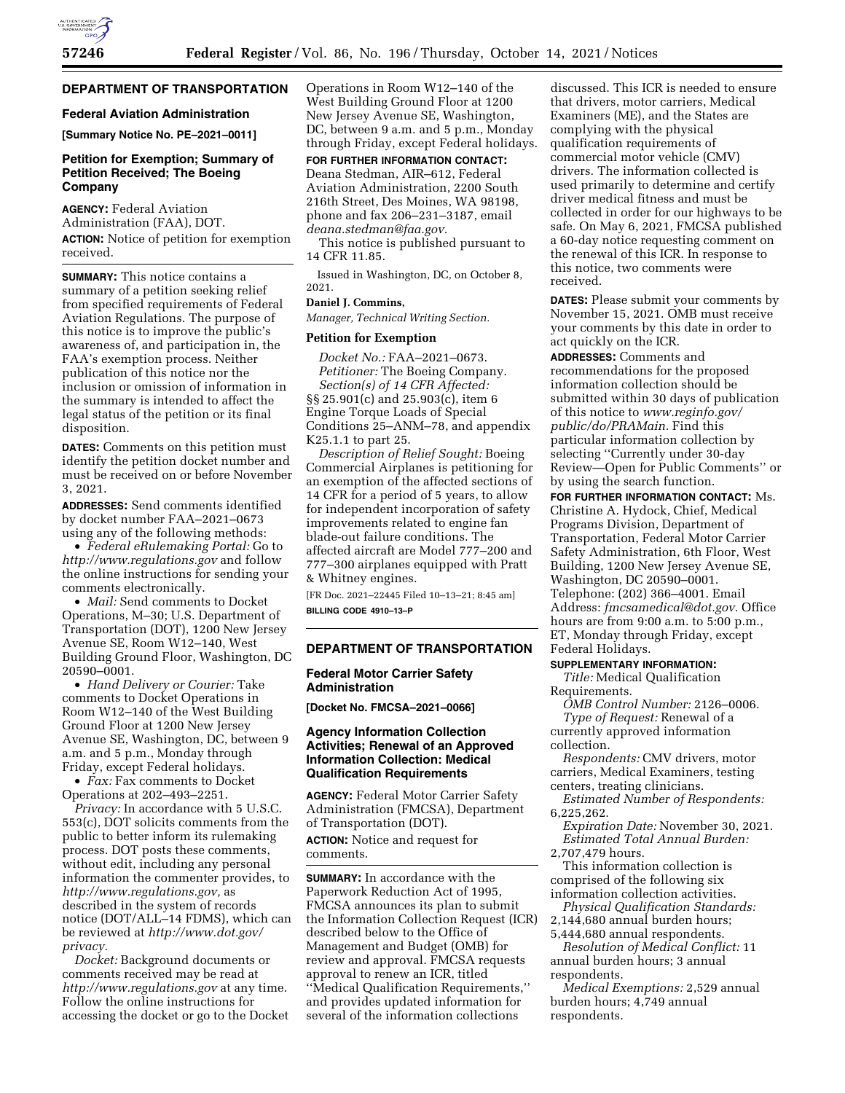## **DEPARTMENT OF TRANSPORTATION**

## **Federal Aviation Administration**

**[Summary Notice No. PE–2021–0011]** 

## **Petition for Exemption; Summary of Petition Received; The Boeing Company**

**AGENCY:** Federal Aviation Administration (FAA), DOT. **ACTION:** Notice of petition for exemption received.

**SUMMARY:** This notice contains a summary of a petition seeking relief from specified requirements of Federal Aviation Regulations. The purpose of this notice is to improve the public's awareness of, and participation in, the FAA's exemption process. Neither publication of this notice nor the inclusion or omission of information in the summary is intended to affect the legal status of the petition or its final disposition.

**DATES:** Comments on this petition must identify the petition docket number and must be received on or before November 3, 2021.

**ADDRESSES:** Send comments identified by docket number FAA–2021–0673 using any of the following methods:

• *Federal eRulemaking Portal:* Go to *<http://www.regulations.gov>* and follow the online instructions for sending your comments electronically.

• *Mail:* Send comments to Docket Operations, M–30; U.S. Department of Transportation (DOT), 1200 New Jersey Avenue SE, Room W12–140, West Building Ground Floor, Washington, DC 20590–0001.

• *Hand Delivery or Courier:* Take comments to Docket Operations in Room W12–140 of the West Building Ground Floor at 1200 New Jersey Avenue SE, Washington, DC, between 9 a.m. and 5 p.m., Monday through Friday, except Federal holidays.

• *Fax:* Fax comments to Docket Operations at 202–493–2251.

*Privacy:* In accordance with 5 U.S.C. 553(c), DOT solicits comments from the public to better inform its rulemaking process. DOT posts these comments, without edit, including any personal information the commenter provides, to *[http://www.regulations.gov,](http://www.regulations.gov)* as described in the system of records notice (DOT/ALL–14 FDMS), which can be reviewed at *[http://www.dot.gov/](http://www.dot.gov/privacy)  [privacy.](http://www.dot.gov/privacy)* 

*Docket:* Background documents or comments received may be read at *<http://www.regulations.gov>* at any time. Follow the online instructions for accessing the docket or go to the Docket Operations in Room W12–140 of the West Building Ground Floor at 1200 New Jersey Avenue SE, Washington, DC, between 9 a.m. and 5 p.m., Monday through Friday, except Federal holidays.

# **FOR FURTHER INFORMATION CONTACT:**

Deana Stedman, AIR–612, Federal Aviation Administration, 2200 South 216th Street, Des Moines, WA 98198, phone and fax 206–231–3187, email *[deana.stedman@faa.gov.](mailto:deana.stedman@faa.gov)* 

This notice is published pursuant to 14 CFR 11.85.

Issued in Washington, DC, on October 8, 2021.

## **Daniel J. Commins,**

*Manager, Technical Writing Section.* 

## **Petition for Exemption**

*Docket No.:* FAA–2021–0673. *Petitioner:* The Boeing Company. *Section(s) of 14 CFR Affected:*  §§ 25.901(c) and 25.903(c), item 6 Engine Torque Loads of Special Conditions 25–ANM–78, and appendix K25.1.1 to part 25.

*Description of Relief Sought:* Boeing Commercial Airplanes is petitioning for an exemption of the affected sections of 14 CFR for a period of 5 years, to allow for independent incorporation of safety improvements related to engine fan blade-out failure conditions. The affected aircraft are Model 777–200 and 777–300 airplanes equipped with Pratt & Whitney engines.

[FR Doc. 2021–22445 Filed 10–13–21; 8:45 am] **BILLING CODE 4910–13–P** 

#### **DEPARTMENT OF TRANSPORTATION**

### **Federal Motor Carrier Safety Administration**

**[Docket No. FMCSA–2021–0066]** 

## **Agency Information Collection Activities; Renewal of an Approved Information Collection: Medical Qualification Requirements**

**AGENCY:** Federal Motor Carrier Safety Administration (FMCSA), Department of Transportation (DOT).

**ACTION:** Notice and request for comments.

**SUMMARY:** In accordance with the Paperwork Reduction Act of 1995, FMCSA announces its plan to submit the Information Collection Request (ICR) described below to the Office of Management and Budget (OMB) for review and approval. FMCSA requests approval to renew an ICR, titled ''Medical Qualification Requirements,'' and provides updated information for several of the information collections

discussed. This ICR is needed to ensure that drivers, motor carriers, Medical Examiners (ME), and the States are complying with the physical qualification requirements of commercial motor vehicle (CMV) drivers. The information collected is used primarily to determine and certify driver medical fitness and must be collected in order for our highways to be safe. On May 6, 2021, FMCSA published a 60-day notice requesting comment on the renewal of this ICR. In response to this notice, two comments were received.

**DATES:** Please submit your comments by November 15, 2021. OMB must receive your comments by this date in order to act quickly on the ICR.

**ADDRESSES:** Comments and recommendations for the proposed information collection should be submitted within 30 days of publication of this notice to *[www.reginfo.gov/](http://www.reginfo.gov/public/do/PRAMain)  [public/do/PRAMain.](http://www.reginfo.gov/public/do/PRAMain)* Find this particular information collection by selecting ''Currently under 30-day Review—Open for Public Comments'' or by using the search function.

**FOR FURTHER INFORMATION CONTACT:** Ms. Christine A. Hydock, Chief, Medical Programs Division, Department of Transportation, Federal Motor Carrier Safety Administration, 6th Floor, West Building, 1200 New Jersey Avenue SE, Washington, DC 20590–0001. Telephone: (202) 366–4001. Email Address: *[fmcsamedical@dot.gov.](mailto:fmcsamedical@dot.gov)* Office hours are from 9:00 a.m. to 5:00 p.m., ET, Monday through Friday, except Federal Holidays.

## **SUPPLEMENTARY INFORMATION:**

*Title:* Medical Qualification Requirements.

*OMB Control Number:* 2126–0006. *Type of Request:* Renewal of a currently approved information collection.

*Respondents:* CMV drivers, motor carriers, Medical Examiners, testing centers, treating clinicians.

*Estimated Number of Respondents:*  6,225,262.

*Expiration Date:* November 30, 2021. *Estimated Total Annual Burden:* 

2,707,479 hours.

This information collection is comprised of the following six information collection activities.

*Physical Qualification Standards:*  2,144,680 annual burden hours;

5,444,680 annual respondents. *Resolution of Medical Conflict:* 11 annual burden hours; 3 annual respondents.

*Medical Exemptions:* 2,529 annual burden hours; 4,749 annual respondents.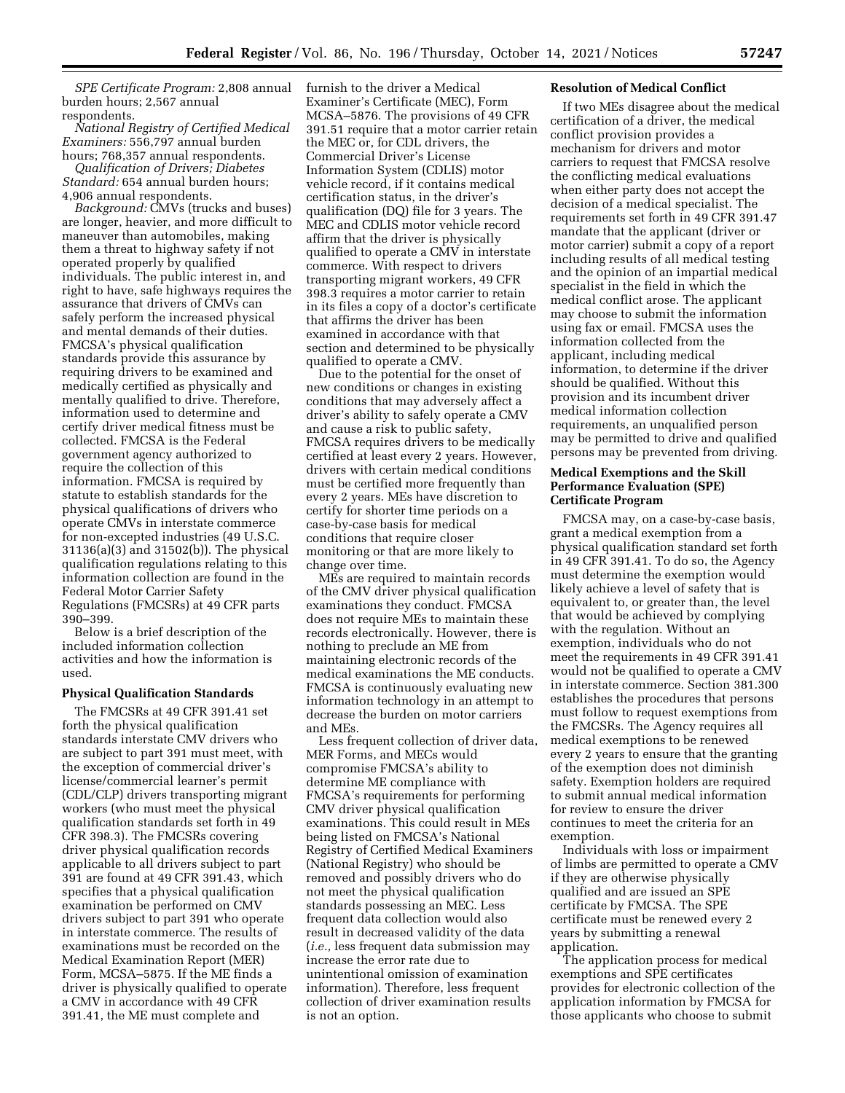*SPE Certificate Program:* 2,808 annual burden hours; 2,567 annual respondents.

*National Registry of Certified Medical Examiners:* 556,797 annual burden hours; 768,357 annual respondents.

*Qualification of Drivers; Diabetes Standard:* 654 annual burden hours; 4,906 annual respondents.

*Background:* CMVs (trucks and buses) are longer, heavier, and more difficult to maneuver than automobiles, making them a threat to highway safety if not operated properly by qualified individuals. The public interest in, and right to have, safe highways requires the assurance that drivers of CMVs can safely perform the increased physical and mental demands of their duties. FMCSA's physical qualification standards provide this assurance by requiring drivers to be examined and medically certified as physically and mentally qualified to drive. Therefore, information used to determine and certify driver medical fitness must be collected. FMCSA is the Federal government agency authorized to require the collection of this information. FMCSA is required by statute to establish standards for the physical qualifications of drivers who operate CMVs in interstate commerce for non-excepted industries (49 U.S.C. 31136(a)(3) and 31502(b)). The physical qualification regulations relating to this information collection are found in the Federal Motor Carrier Safety Regulations (FMCSRs) at 49 CFR parts 390–399.

Below is a brief description of the included information collection activities and how the information is used.

#### **Physical Qualification Standards**

The FMCSRs at 49 CFR 391.41 set forth the physical qualification standards interstate CMV drivers who are subject to part 391 must meet, with the exception of commercial driver's license/commercial learner's permit (CDL/CLP) drivers transporting migrant workers (who must meet the physical qualification standards set forth in 49 CFR 398.3). The FMCSRs covering driver physical qualification records applicable to all drivers subject to part 391 are found at 49 CFR 391.43, which specifies that a physical qualification examination be performed on CMV drivers subject to part 391 who operate in interstate commerce. The results of examinations must be recorded on the Medical Examination Report (MER) Form, MCSA–5875. If the ME finds a driver is physically qualified to operate a CMV in accordance with 49 CFR 391.41, the ME must complete and

furnish to the driver a Medical Examiner's Certificate (MEC), Form MCSA–5876. The provisions of 49 CFR 391.51 require that a motor carrier retain the MEC or, for CDL drivers, the Commercial Driver's License Information System (CDLIS) motor vehicle record, if it contains medical certification status, in the driver's qualification (DQ) file for 3 years. The MEC and CDLIS motor vehicle record affirm that the driver is physically qualified to operate a CMV in interstate commerce. With respect to drivers transporting migrant workers, 49 CFR 398.3 requires a motor carrier to retain in its files a copy of a doctor's certificate that affirms the driver has been examined in accordance with that section and determined to be physically qualified to operate a CMV.

Due to the potential for the onset of new conditions or changes in existing conditions that may adversely affect a driver's ability to safely operate a CMV and cause a risk to public safety, FMCSA requires drivers to be medically certified at least every 2 years. However, drivers with certain medical conditions must be certified more frequently than every 2 years. MEs have discretion to certify for shorter time periods on a case-by-case basis for medical conditions that require closer monitoring or that are more likely to change over time.

MEs are required to maintain records of the CMV driver physical qualification examinations they conduct. FMCSA does not require MEs to maintain these records electronically. However, there is nothing to preclude an ME from maintaining electronic records of the medical examinations the ME conducts. FMCSA is continuously evaluating new information technology in an attempt to decrease the burden on motor carriers and MEs.

Less frequent collection of driver data, MER Forms, and MECs would compromise FMCSA's ability to determine ME compliance with FMCSA's requirements for performing CMV driver physical qualification examinations. This could result in MEs being listed on FMCSA's National Registry of Certified Medical Examiners (National Registry) who should be removed and possibly drivers who do not meet the physical qualification standards possessing an MEC. Less frequent data collection would also result in decreased validity of the data (*i.e.,* less frequent data submission may increase the error rate due to unintentional omission of examination information). Therefore, less frequent collection of driver examination results is not an option.

#### **Resolution of Medical Conflict**

If two MEs disagree about the medical certification of a driver, the medical conflict provision provides a mechanism for drivers and motor carriers to request that FMCSA resolve the conflicting medical evaluations when either party does not accept the decision of a medical specialist. The requirements set forth in 49 CFR 391.47 mandate that the applicant (driver or motor carrier) submit a copy of a report including results of all medical testing and the opinion of an impartial medical specialist in the field in which the medical conflict arose. The applicant may choose to submit the information using fax or email. FMCSA uses the information collected from the applicant, including medical information, to determine if the driver should be qualified. Without this provision and its incumbent driver medical information collection requirements, an unqualified person may be permitted to drive and qualified persons may be prevented from driving.

## **Medical Exemptions and the Skill Performance Evaluation (SPE) Certificate Program**

FMCSA may, on a case-by-case basis, grant a medical exemption from a physical qualification standard set forth in 49 CFR 391.41. To do so, the Agency must determine the exemption would likely achieve a level of safety that is equivalent to, or greater than, the level that would be achieved by complying with the regulation. Without an exemption, individuals who do not meet the requirements in 49 CFR 391.41 would not be qualified to operate a CMV in interstate commerce. Section 381.300 establishes the procedures that persons must follow to request exemptions from the FMCSRs. The Agency requires all medical exemptions to be renewed every 2 years to ensure that the granting of the exemption does not diminish safety. Exemption holders are required to submit annual medical information for review to ensure the driver continues to meet the criteria for an exemption.

Individuals with loss or impairment of limbs are permitted to operate a CMV if they are otherwise physically qualified and are issued an SPE certificate by FMCSA. The SPE certificate must be renewed every 2 years by submitting a renewal application.

The application process for medical exemptions and SPE certificates provides for electronic collection of the application information by FMCSA for those applicants who choose to submit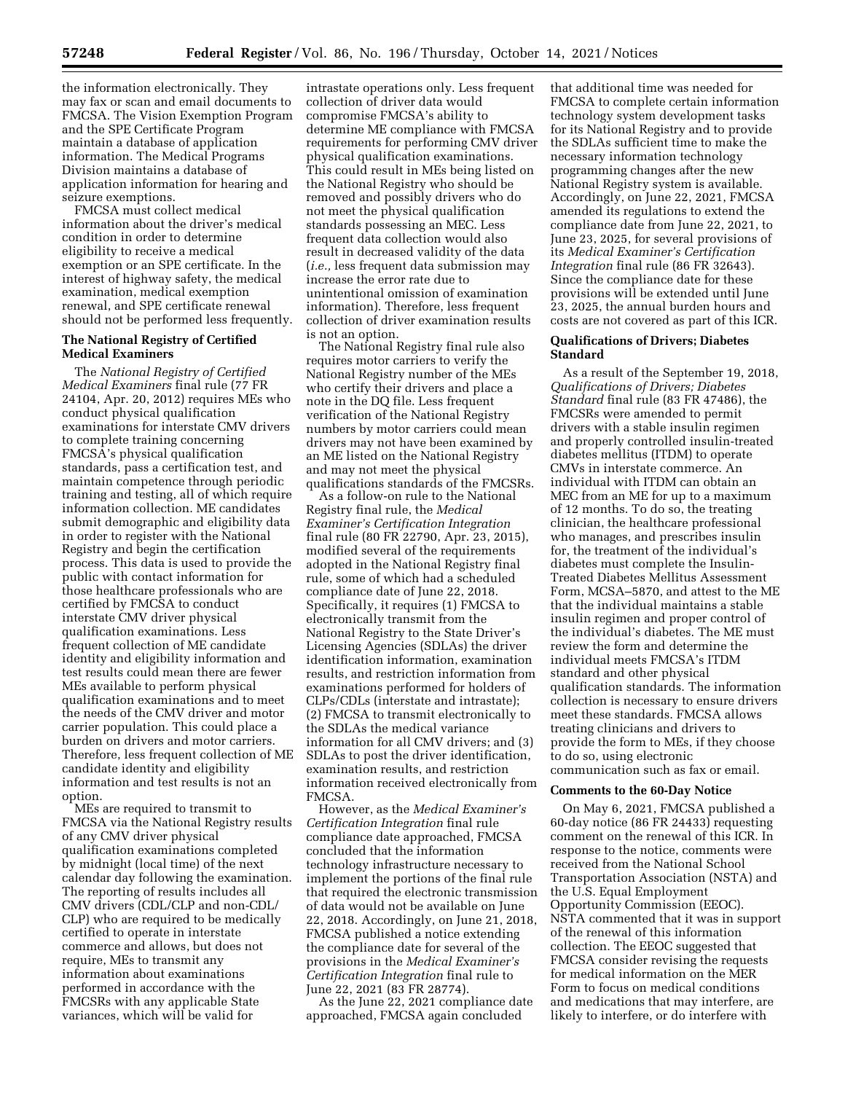the information electronically. They may fax or scan and email documents to FMCSA. The Vision Exemption Program and the SPE Certificate Program maintain a database of application information. The Medical Programs Division maintains a database of application information for hearing and seizure exemptions.

FMCSA must collect medical information about the driver's medical condition in order to determine eligibility to receive a medical exemption or an SPE certificate. In the interest of highway safety, the medical examination, medical exemption renewal, and SPE certificate renewal should not be performed less frequently.

## **The National Registry of Certified Medical Examiners**

The *National Registry of Certified Medical Examiners* final rule (77 FR 24104, Apr. 20, 2012) requires MEs who conduct physical qualification examinations for interstate CMV drivers to complete training concerning FMCSA's physical qualification standards, pass a certification test, and maintain competence through periodic training and testing, all of which require information collection. ME candidates submit demographic and eligibility data in order to register with the National Registry and begin the certification process. This data is used to provide the public with contact information for those healthcare professionals who are certified by FMCSA to conduct interstate CMV driver physical qualification examinations. Less frequent collection of ME candidate identity and eligibility information and test results could mean there are fewer MEs available to perform physical qualification examinations and to meet the needs of the CMV driver and motor carrier population. This could place a burden on drivers and motor carriers. Therefore, less frequent collection of ME candidate identity and eligibility information and test results is not an option.

MEs are required to transmit to FMCSA via the National Registry results of any CMV driver physical qualification examinations completed by midnight (local time) of the next calendar day following the examination. The reporting of results includes all CMV drivers (CDL/CLP and non-CDL/ CLP) who are required to be medically certified to operate in interstate commerce and allows, but does not require, MEs to transmit any information about examinations performed in accordance with the FMCSRs with any applicable State variances, which will be valid for

intrastate operations only. Less frequent collection of driver data would compromise FMCSA's ability to determine ME compliance with FMCSA requirements for performing CMV driver physical qualification examinations. This could result in MEs being listed on the National Registry who should be removed and possibly drivers who do not meet the physical qualification standards possessing an MEC. Less frequent data collection would also result in decreased validity of the data (*i.e.,* less frequent data submission may increase the error rate due to unintentional omission of examination information). Therefore, less frequent collection of driver examination results is not an option.

The National Registry final rule also requires motor carriers to verify the National Registry number of the MEs who certify their drivers and place a note in the DQ file. Less frequent verification of the National Registry numbers by motor carriers could mean drivers may not have been examined by an ME listed on the National Registry and may not meet the physical qualifications standards of the FMCSRs.

As a follow-on rule to the National Registry final rule, the *Medical Examiner's Certification Integration*  final rule (80 FR 22790, Apr. 23, 2015), modified several of the requirements adopted in the National Registry final rule, some of which had a scheduled compliance date of June 22, 2018. Specifically, it requires (1) FMCSA to electronically transmit from the National Registry to the State Driver's Licensing Agencies (SDLAs) the driver identification information, examination results, and restriction information from examinations performed for holders of CLPs/CDLs (interstate and intrastate); (2) FMCSA to transmit electronically to the SDLAs the medical variance information for all CMV drivers; and (3) SDLAs to post the driver identification, examination results, and restriction information received electronically from FMCSA.

However, as the *Medical Examiner's Certification Integration* final rule compliance date approached, FMCSA concluded that the information technology infrastructure necessary to implement the portions of the final rule that required the electronic transmission of data would not be available on June 22, 2018. Accordingly, on June 21, 2018, FMCSA published a notice extending the compliance date for several of the provisions in the *Medical Examiner's Certification Integration* final rule to June 22, 2021 (83 FR 28774).

As the June 22, 2021 compliance date approached, FMCSA again concluded

that additional time was needed for FMCSA to complete certain information technology system development tasks for its National Registry and to provide the SDLAs sufficient time to make the necessary information technology programming changes after the new National Registry system is available. Accordingly, on June 22, 2021, FMCSA amended its regulations to extend the compliance date from June 22, 2021, to June 23, 2025, for several provisions of its *Medical Examiner's Certification Integration* final rule (86 FR 32643). Since the compliance date for these provisions will be extended until June 23, 2025, the annual burden hours and costs are not covered as part of this ICR.

## **Qualifications of Drivers; Diabetes Standard**

As a result of the September 19, 2018, *Qualifications of Drivers; Diabetes Standard* final rule (83 FR 47486), the FMCSRs were amended to permit drivers with a stable insulin regimen and properly controlled insulin-treated diabetes mellitus (ITDM) to operate CMVs in interstate commerce. An individual with ITDM can obtain an MEC from an ME for up to a maximum of 12 months. To do so, the treating clinician, the healthcare professional who manages, and prescribes insulin for, the treatment of the individual's diabetes must complete the Insulin-Treated Diabetes Mellitus Assessment Form, MCSA–5870, and attest to the ME that the individual maintains a stable insulin regimen and proper control of the individual's diabetes. The ME must review the form and determine the individual meets FMCSA's ITDM standard and other physical qualification standards. The information collection is necessary to ensure drivers meet these standards. FMCSA allows treating clinicians and drivers to provide the form to MEs, if they choose to do so, using electronic communication such as fax or email.

#### **Comments to the 60-Day Notice**

On May 6, 2021, FMCSA published a 60-day notice (86 FR 24433) requesting comment on the renewal of this ICR. In response to the notice, comments were received from the National School Transportation Association (NSTA) and the U.S. Equal Employment Opportunity Commission (EEOC). NSTA commented that it was in support of the renewal of this information collection. The EEOC suggested that FMCSA consider revising the requests for medical information on the MER Form to focus on medical conditions and medications that may interfere, are likely to interfere, or do interfere with